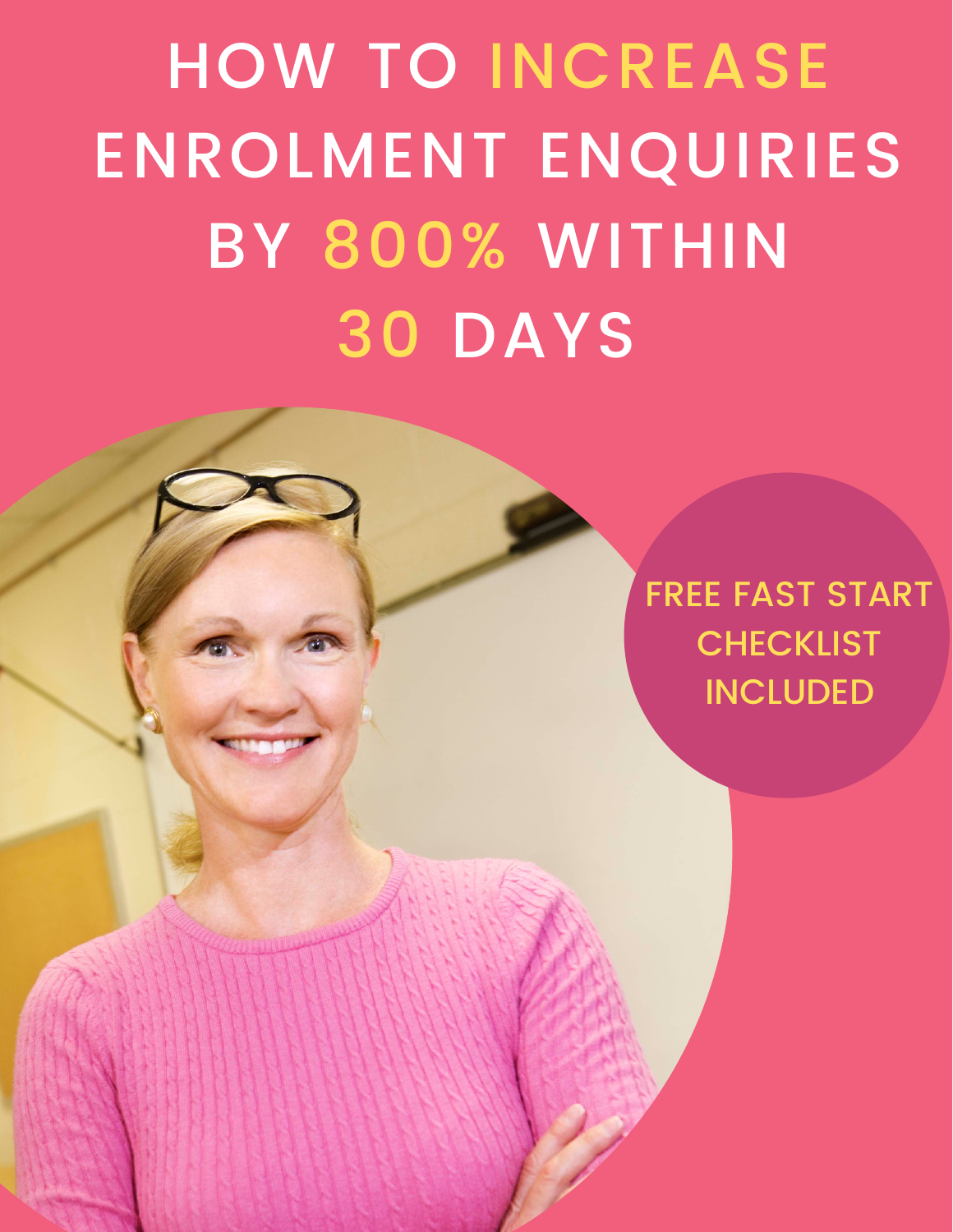HOW TO INCREASE ENROLMENT ENQUIRIES BY 800% WITHIN 30 DAYS

> FREE FAST START **CHECKLIST** INCLUDED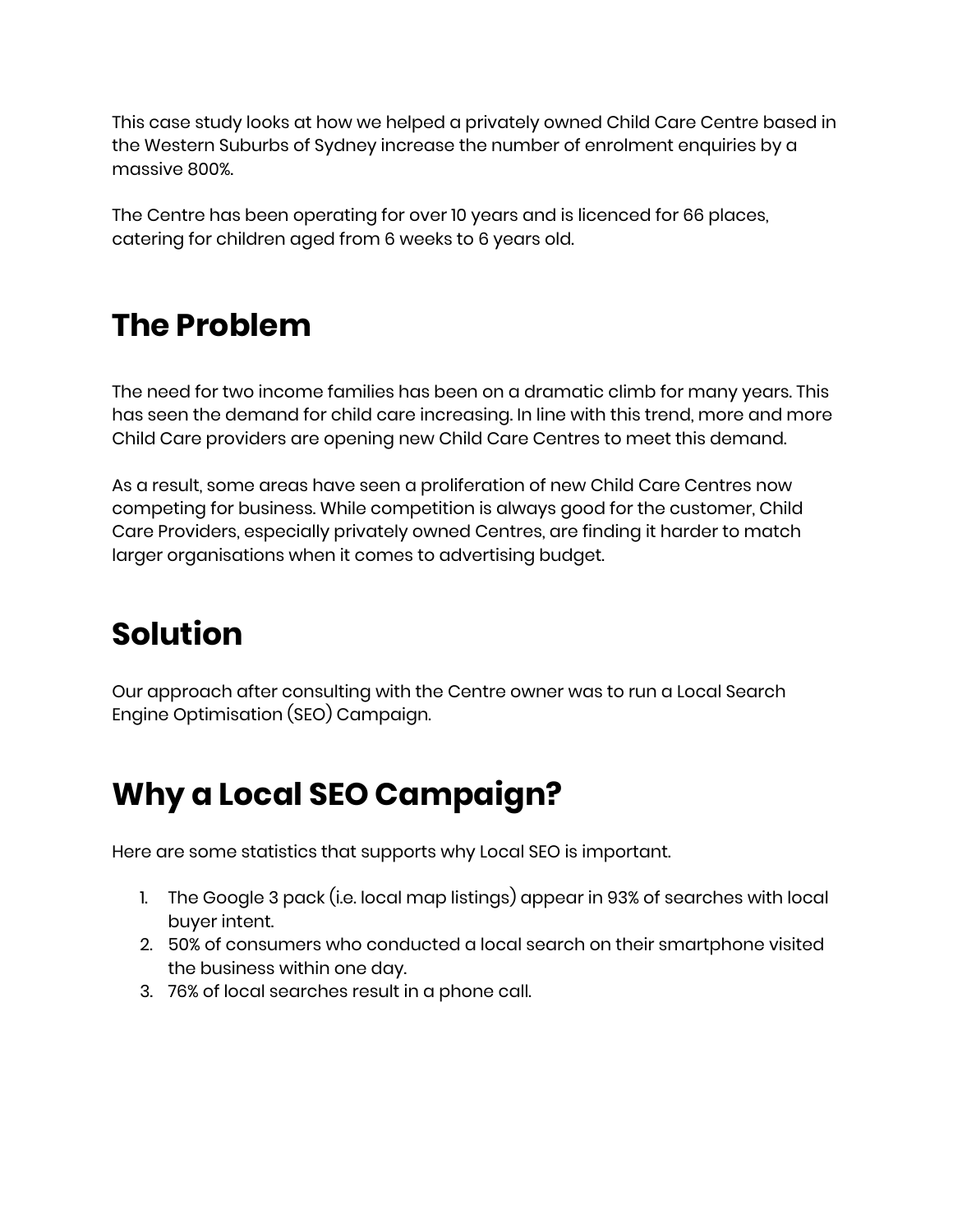This case study looks at how we helped a privately owned Child Care Centre based in the Western Suburbs of Sydney increase the number of enrolment enquiries by a massive 800%.

The Centre has been operating for over 10 years and is licenced for 66 places, catering for children aged from 6 weeks to 6 years old.

# The Problem

The need for two income families has been on a dramatic climb for many years. This has seen the demand for child care increasing. In line with this trend, more and more Child Care providers are opening new Child Care Centres to meet this demand.

As a result, some areas have seen a proliferation of new Child Care Centres now competing for business. While competition is always good for the customer, Child Care Providers, especially privately owned Centres, are finding it harder to match larger organisations when it comes to advertising budget.

# Solution

Our approach after consulting with the Centre owner was to run a Local Search Engine Optimisation (SEO) Campaign.

## Why a Local SEO Campaign?

Here are some statistics that supports why Local SEO is important.

- 1. The Google 3 pack (i.e. local map listings) appear in 93% of searches with local buyer intent.
- 2. 50% of consumers who conducted a local search on their smartphone visited the business within one day.
- 3. 76% of local searches result in a phone call.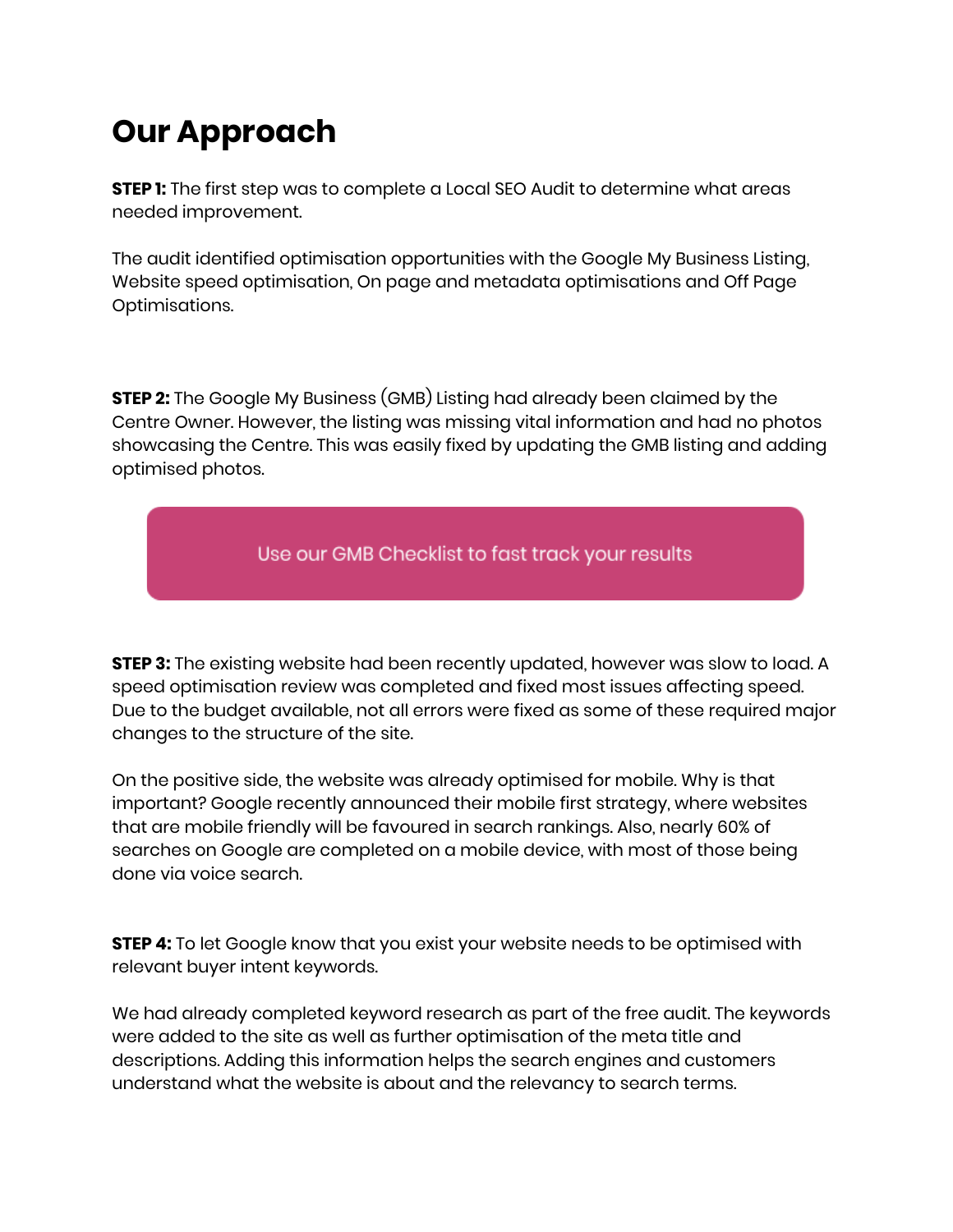## Our Approach

**STEP 1:** The first step was to complete a Local SEO Audit to determine what areas needed improvement.

The audit identified optimisation opportunities with the Google My Business Listing, Website speed optimisation, On page and metadata optimisations and Off Page Optimisations.

**STEP 2:** The Google My Business (GMB) Listing had already been claimed by the Centre Owner. However, the listing was missing vital information and had no photos showcasing the Centre. This was easily fixed by updating the GMB listing and adding optimised photos.



**STEP 3:** The existing website had been recently updated, however was slow to load. A speed optimisation review was completed and fixed most issues affecting speed. Due to the budget available, not all errors were fixed as some of these required major changes to the structure of the site.

On the positive side, the website was already optimised for mobile. Why is that important? Google recently announced their mobile first strategy, where websites that are mobile friendly will be favoured in search rankings. Also, nearly 60% of searches on Google are completed on a mobile device, with most of those being done via voice search.

**STEP 4:** To let Google know that you exist your website needs to be optimised with relevant buyer intent keywords.

We had already completed keyword research as part of the free audit. The keywords were added to the site as well as further optimisation of the meta title and descriptions. Adding this information helps the search engines and customers understand what the website is about and the relevancy to search terms.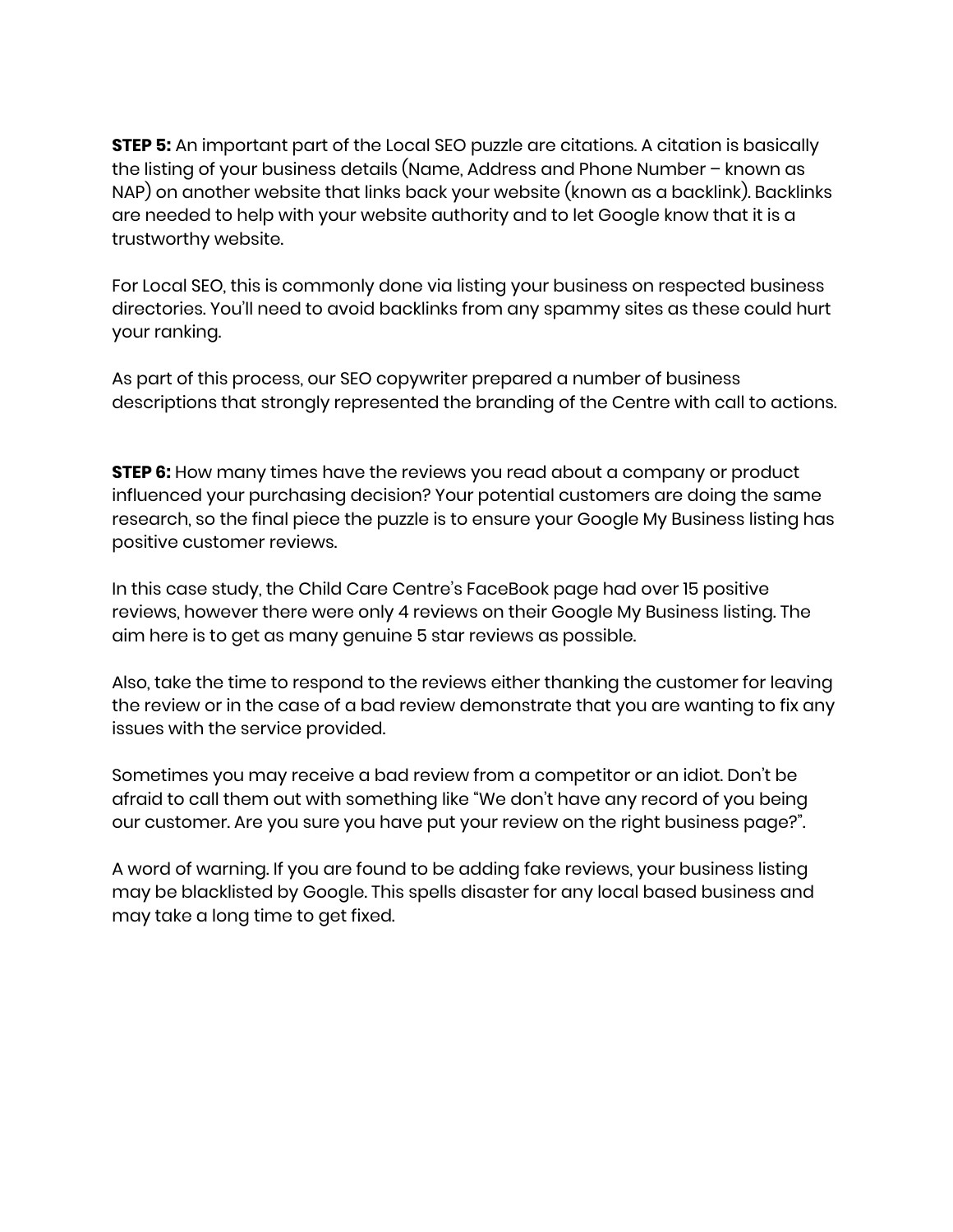**STEP 5:** An important part of the Local SEO puzzle are citations. A citation is basically the listing of your business details (Name, Address and Phone Number – known as NAP) on another website that links back your website (known as a backlink). Backlinks are needed to help with your website authority and to let Google know that it is a trustworthy website.

For Local SEO, this is commonly done via listing your business on respected business directories. You'll need to avoid backlinks from any spammy sites as these could hurt your ranking.

As part of this process, our SEO copywriter prepared a number of business descriptions that strongly represented the branding of the Centre with call to actions.

**STEP 6:** How many times have the reviews you read about a company or product influenced your purchasing decision? Your potential customers are doing the same research, so the final piece the puzzle is to ensure your Google My Business listing has positive customer reviews.

In this case study, the Child Care Centre's FaceBook page had over 15 positive reviews, however there were only 4 reviews on their Google My Business listing. The aim here is to get as many genuine 5 star reviews as possible.

Also, take the time to respond to the reviews either thanking the customer for leaving the review or in the case of a bad review demonstrate that you are wanting to fix any issues with the service provided.

Sometimes you may receive a bad review from a competitor or an idiot. Don't be afraid to call them out with something like "We don't have any record of you being our customer. Are you sure you have put your review on the right business page?".

A word of warning. If you are found to be adding fake reviews, your business listing may be blacklisted by Google. This spells disaster for any local based business and may take a long time to get fixed.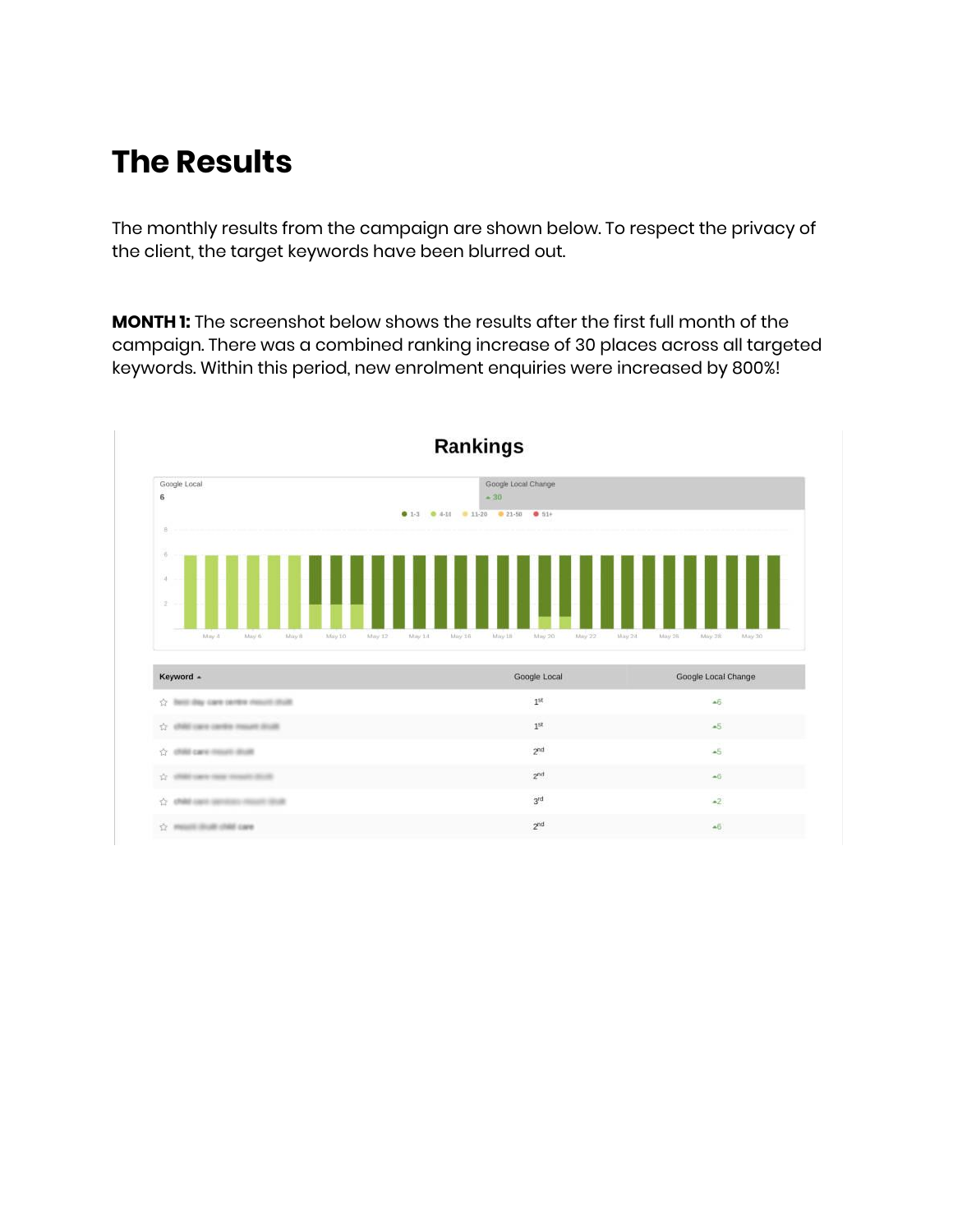### The Results

The monthly results from the campaign are shown below. To respect the privacy of the client, the target keywords have been blurred out.

MONTH 1: The screenshot below shows the results after the first full month of the campaign. There was a combined ranking increase of 30 places across all targeted keywords. Within this period, new enrolment enquiries were increased by 800%!

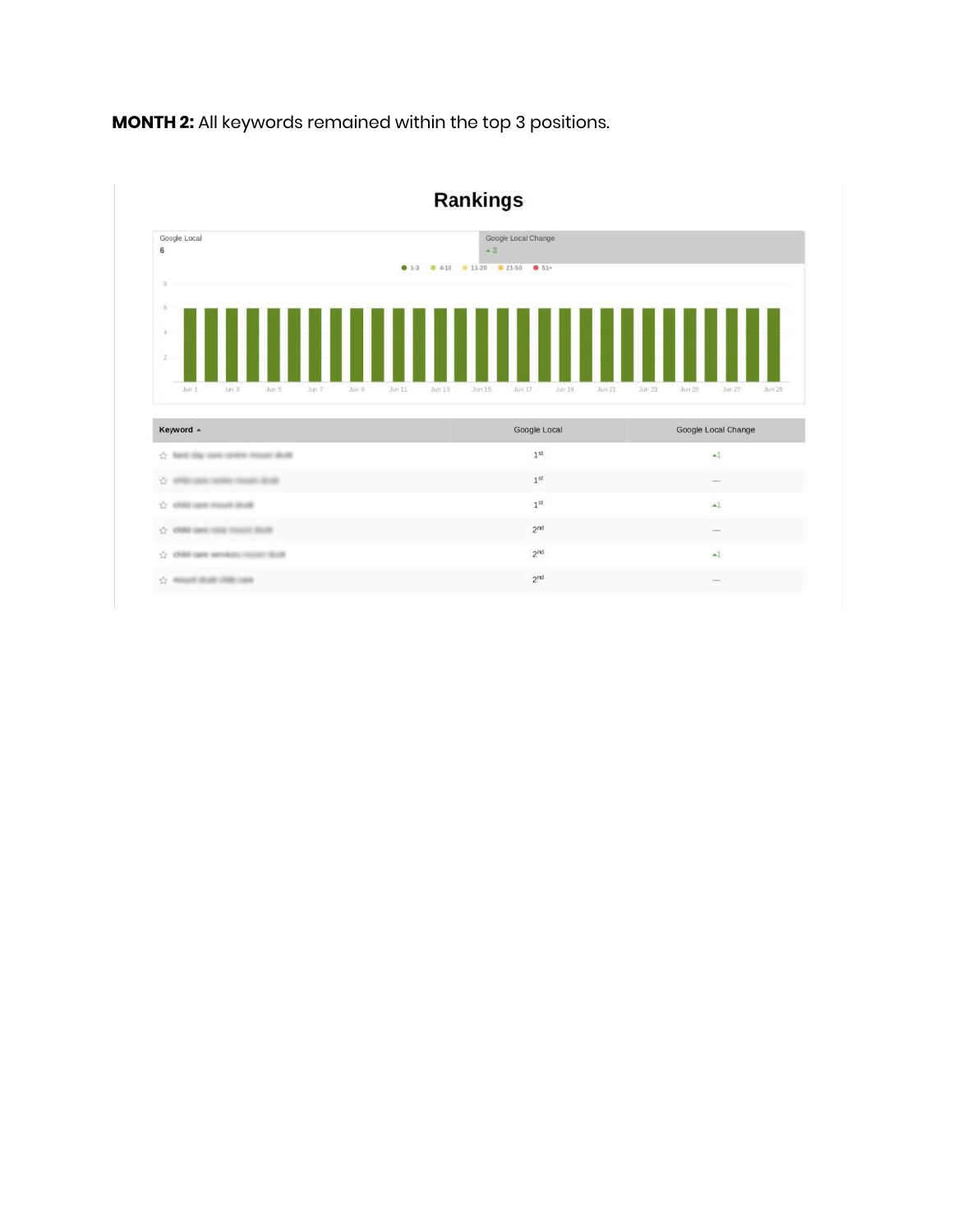

MONTH 2: All keywords remained within the top 3 positions.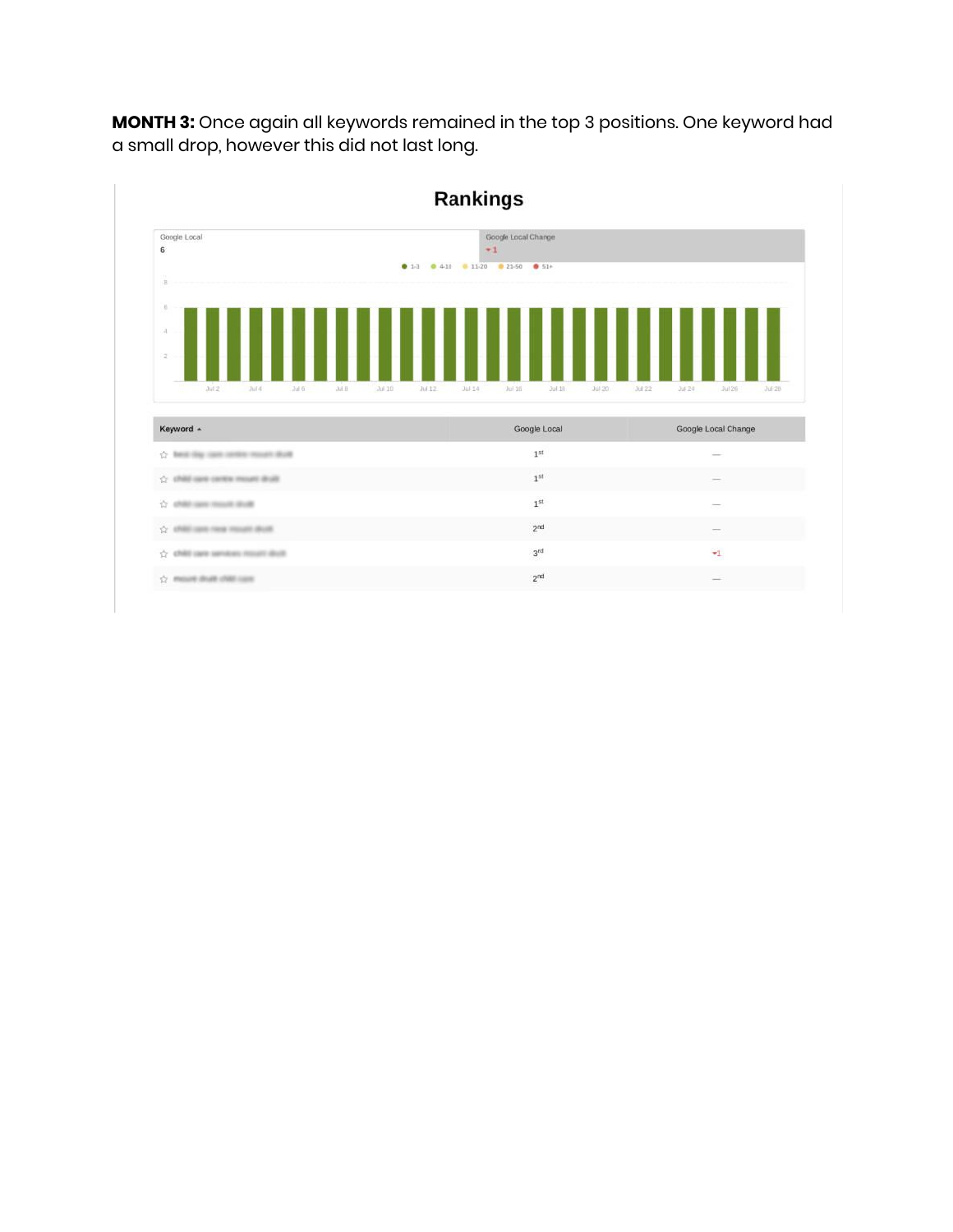

MONTH 3: Once again all keywords remained in the top 3 positions. One keyword had a small drop, however this did not last long.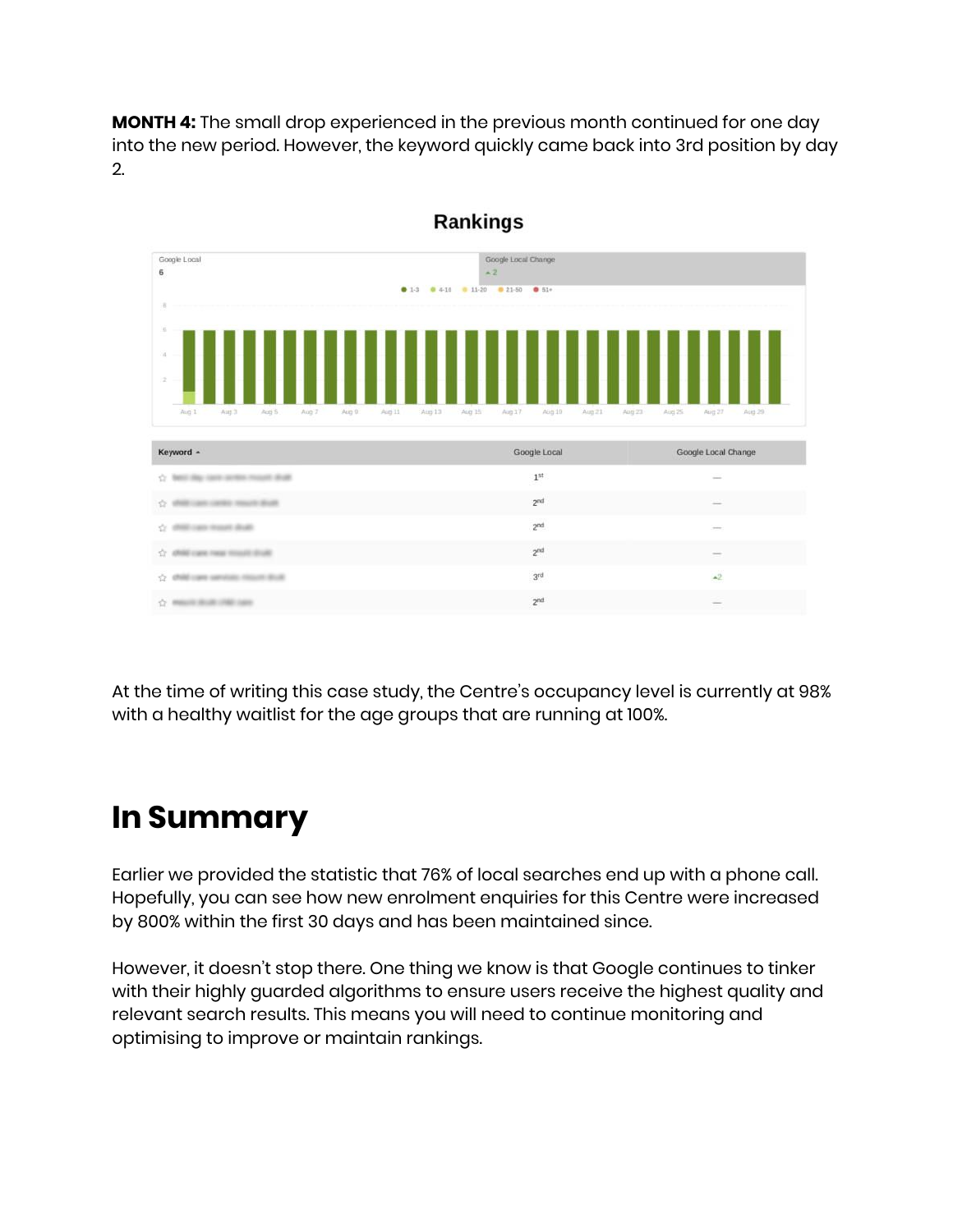MONTH 4: The small drop experienced in the previous month continued for one day into the new period. However, the keyword quickly came back into 3rd position by day 2.



Rankings

At the time of writing this case study, the Centre's occupancy level is currently at 98% with a healthy waitlist for the age groups that are running at 100%.

### In Summary

Earlier we provided the statistic that 76% of local searches end up with a phone call. Hopefully, you can see how new enrolment enquiries for this Centre were increased by 800% within the first 30 days and has been maintained since.

However, it doesn't stop there. One thing we know is that Google continues to tinker with their highly guarded algorithms to ensure users receive the highest quality and relevant search results. This means you will need to continue monitoring and optimising to improve or maintain rankings.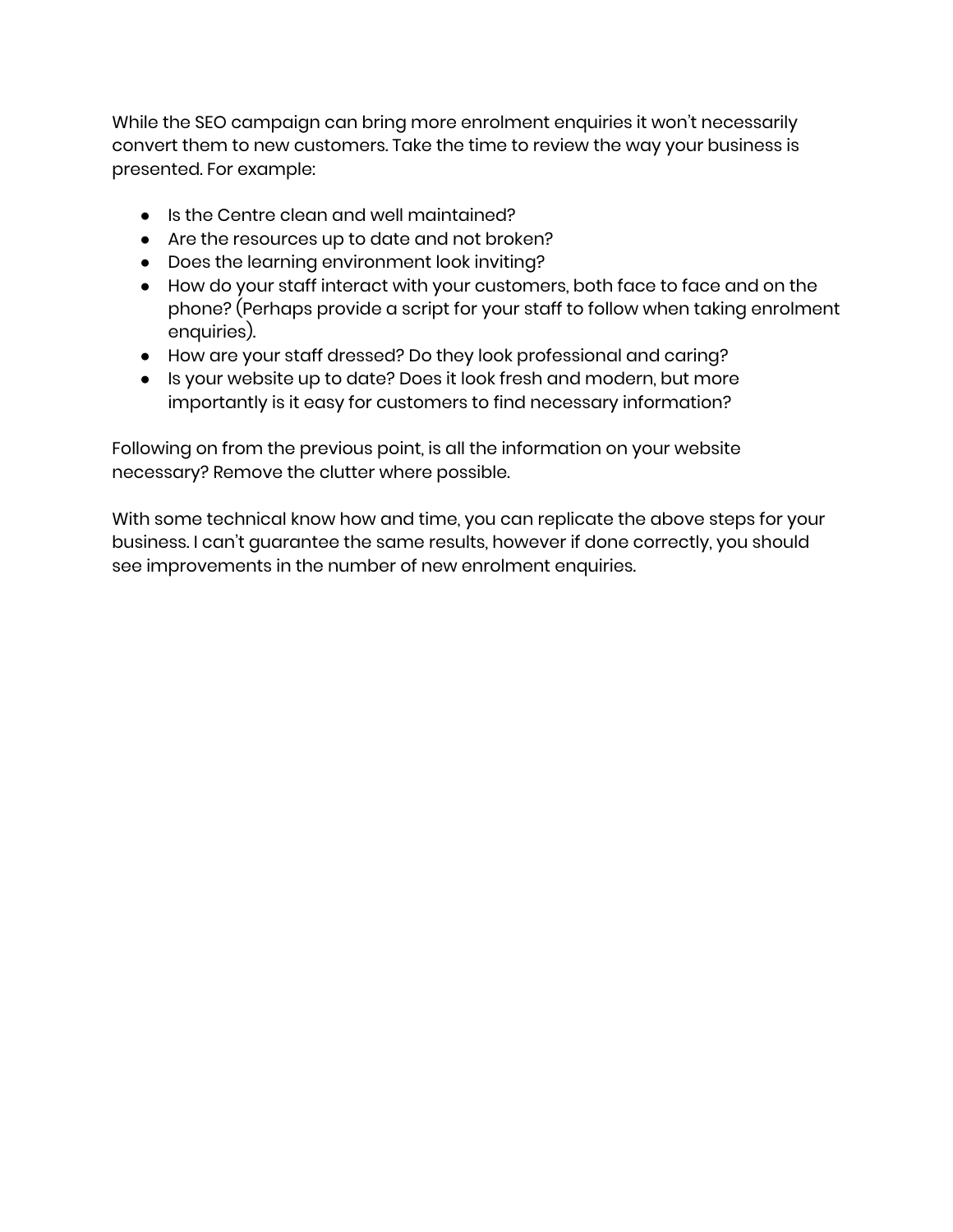While the SEO campaign can bring more enrolment enquiries it won't necessarily convert them to new customers. Take the time to review the way your business is presented. For example:

- Is the Centre clean and well maintained?
- Are the resources up to date and not broken?
- Does the learning environment look inviting?
- How do your staff interact with your customers, both face to face and on the phone? (Perhaps provide a script for your staff to follow when taking enrolment enquiries).
- How are your staff dressed? Do they look professional and caring?
- Is your website up to date? Does it look fresh and modern, but more importantly is it easy for customers to find necessary information?

Following on from the previous point, is all the information on your website necessary? Remove the clutter where possible.

With some technical know how and time, you can replicate the above steps for your business. I can't guarantee the same results, however if done correctly, you should see improvements in the number of new enrolment enquiries.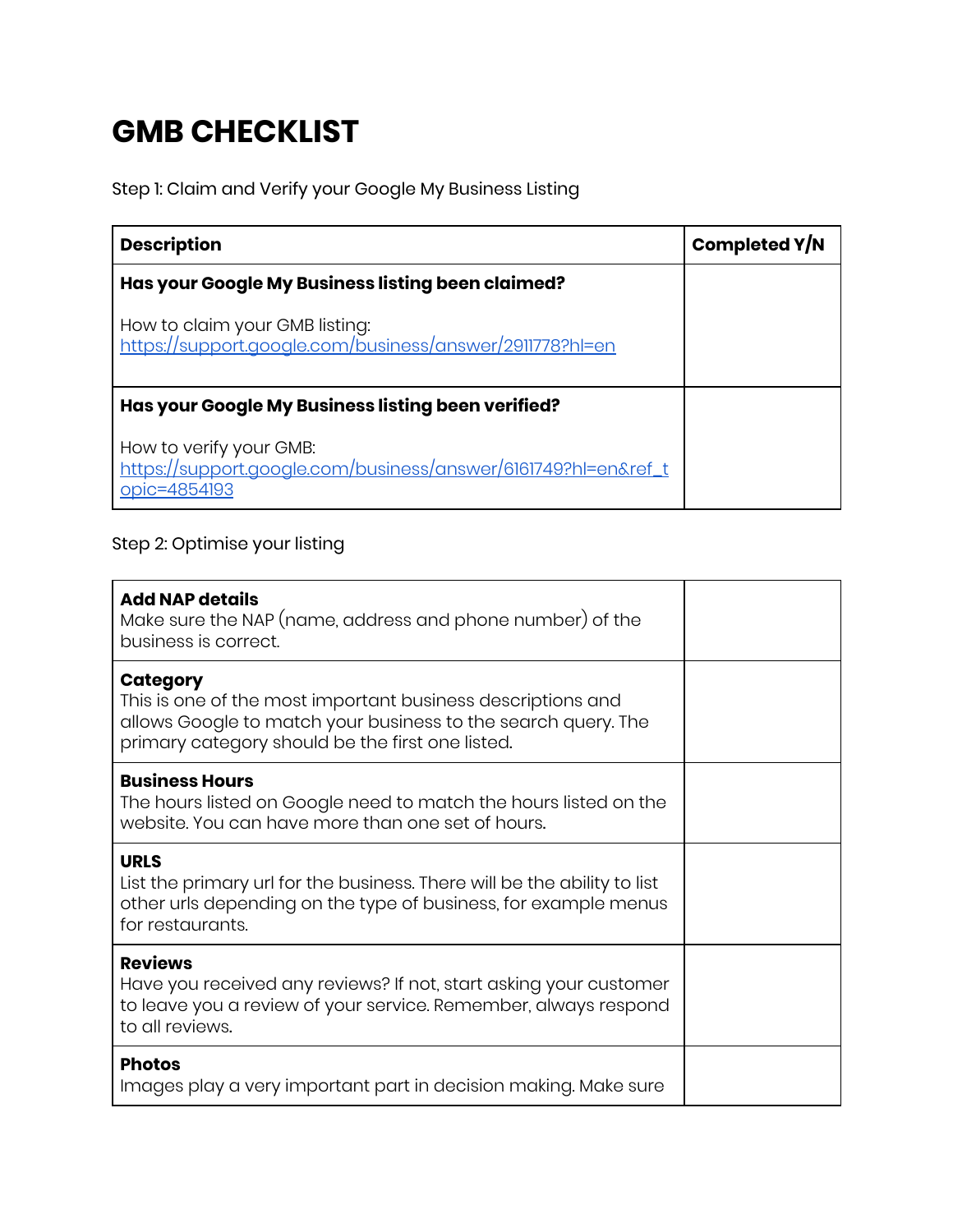# GMB CHECKLIST

Step 1: Claim and Verify your Google My Business Listing

| <b>Description</b>                                                                                        | Completed Y/N |
|-----------------------------------------------------------------------------------------------------------|---------------|
| Has your Google My Business listing been claimed?                                                         |               |
| How to claim your GMB listing:<br>https://support.google.com/business/answer/2911778?hl=en                |               |
| Has your Google My Business listing been verified?                                                        |               |
| How to verify your GMB:<br>https://support.google.com/business/answer/6161749?hl=en&ref_t<br>opic=4854193 |               |

#### Step 2: Optimise your listing

| <b>Add NAP details</b><br>Make sure the NAP (name, address and phone number) of the<br>business is correct.                                                                                         |  |
|-----------------------------------------------------------------------------------------------------------------------------------------------------------------------------------------------------|--|
| <b>Category</b><br>This is one of the most important business descriptions and<br>allows Google to match your business to the search query. The<br>primary category should be the first one listed. |  |
| <b>Business Hours</b><br>The hours listed on Google need to match the hours listed on the<br>website. You can have more than one set of hours.                                                      |  |
| <b>URLS</b><br>List the primary url for the business. There will be the ability to list<br>other urls depending on the type of business, for example menus<br>for restaurants.                      |  |
| <b>Reviews</b><br>Have you received any reviews? If not, start asking your customer<br>to leave you a review of your service. Remember, always respond<br>to all reviews.                           |  |
| <b>Photos</b><br>Images play a very important part in decision making. Make sure                                                                                                                    |  |